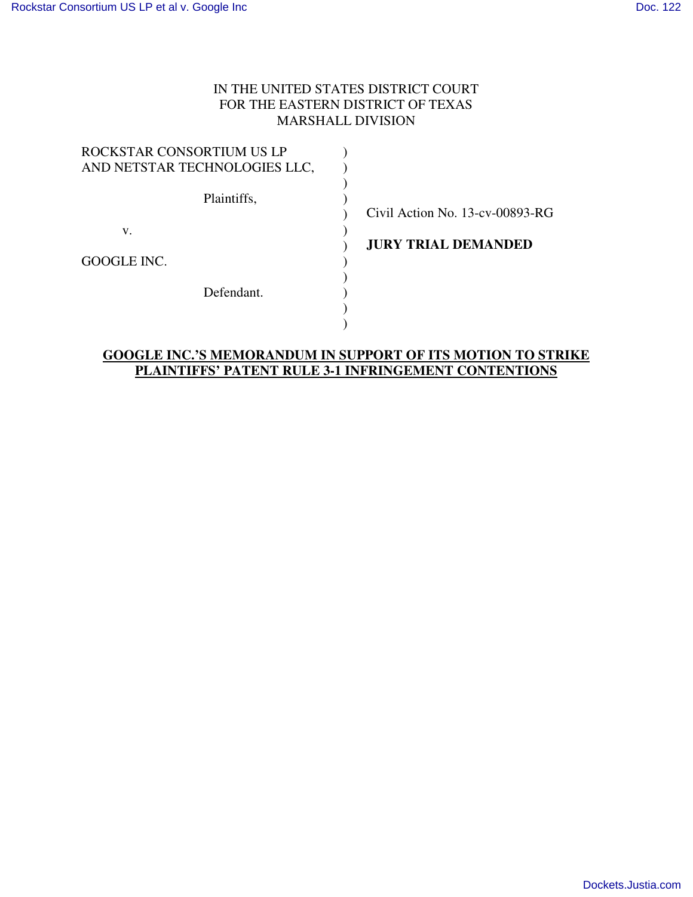# IN THE UNITED STATES DISTRICT COURT FOR THE EASTERN DISTRICT OF TEXAS MARSHALL DIVISION

| ROCKSTAR CONSORTIUM US LP     |  |
|-------------------------------|--|
| AND NETSTAR TECHNOLOGIES LLC, |  |
| Plaintiffs,                   |  |
|                               |  |
| V.                            |  |
| GOOGLE INC.                   |  |
| Defendant.                    |  |
|                               |  |
|                               |  |

Civil Action No. 13-cv-00893-RG

**JURY TRIAL DEMANDED** 

## **GOOGLE INC.'S MEMORANDUM IN SUPPORT OF ITS MOTION TO STRIKE PLAINTIFFS' PATENT RULE 3-1 INFRINGEMENT CONTENTIONS**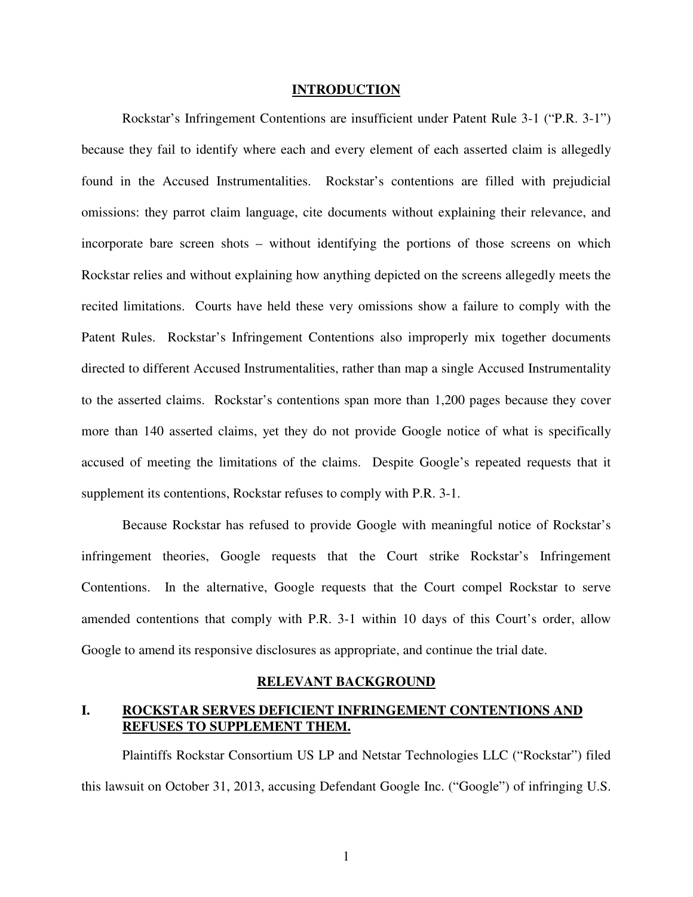#### **INTRODUCTION**

Rockstar's Infringement Contentions are insufficient under Patent Rule 3-1 ("P.R. 3-1") because they fail to identify where each and every element of each asserted claim is allegedly found in the Accused Instrumentalities. Rockstar's contentions are filled with prejudicial omissions: they parrot claim language, cite documents without explaining their relevance, and incorporate bare screen shots – without identifying the portions of those screens on which Rockstar relies and without explaining how anything depicted on the screens allegedly meets the recited limitations. Courts have held these very omissions show a failure to comply with the Patent Rules. Rockstar's Infringement Contentions also improperly mix together documents directed to different Accused Instrumentalities, rather than map a single Accused Instrumentality to the asserted claims. Rockstar's contentions span more than 1,200 pages because they cover more than 140 asserted claims, yet they do not provide Google notice of what is specifically accused of meeting the limitations of the claims. Despite Google's repeated requests that it supplement its contentions, Rockstar refuses to comply with P.R. 3-1.

Because Rockstar has refused to provide Google with meaningful notice of Rockstar's infringement theories, Google requests that the Court strike Rockstar's Infringement Contentions. In the alternative, Google requests that the Court compel Rockstar to serve amended contentions that comply with P.R. 3-1 within 10 days of this Court's order, allow Google to amend its responsive disclosures as appropriate, and continue the trial date.

### **RELEVANT BACKGROUND**

## **I. ROCKSTAR SERVES DEFICIENT INFRINGEMENT CONTENTIONS AND REFUSES TO SUPPLEMENT THEM.**

Plaintiffs Rockstar Consortium US LP and Netstar Technologies LLC ("Rockstar") filed this lawsuit on October 31, 2013, accusing Defendant Google Inc. ("Google") of infringing U.S.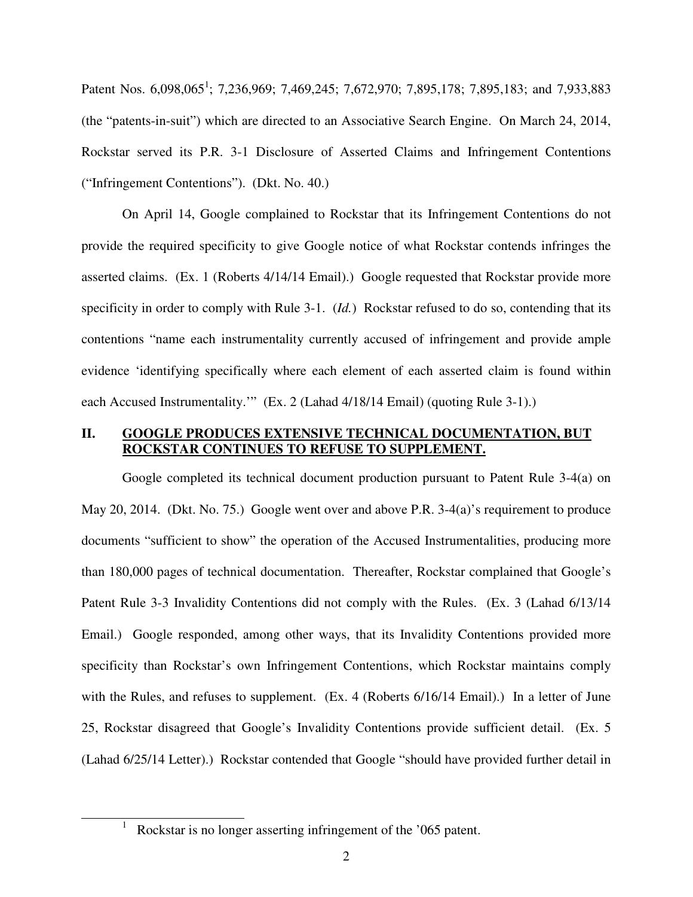Patent Nos. 6,098,065<sup>1</sup>; 7,236,969; 7,469,245; 7,672,970; 7,895,178; 7,895,183; and 7,933,883 (the "patents-in-suit") which are directed to an Associative Search Engine. On March 24, 2014, Rockstar served its P.R. 3-1 Disclosure of Asserted Claims and Infringement Contentions ("Infringement Contentions"). (Dkt. No. 40.)

On April 14, Google complained to Rockstar that its Infringement Contentions do not provide the required specificity to give Google notice of what Rockstar contends infringes the asserted claims. (Ex. 1 (Roberts 4/14/14 Email).) Google requested that Rockstar provide more specificity in order to comply with Rule 3-1. (*Id.*) Rockstar refused to do so, contending that its contentions "name each instrumentality currently accused of infringement and provide ample evidence 'identifying specifically where each element of each asserted claim is found within each Accused Instrumentality.'" (Ex. 2 (Lahad 4/18/14 Email) (quoting Rule 3-1).)

### **II. GOOGLE PRODUCES EXTENSIVE TECHNICAL DOCUMENTATION, BUT ROCKSTAR CONTINUES TO REFUSE TO SUPPLEMENT.**

Google completed its technical document production pursuant to Patent Rule 3-4(a) on May 20, 2014. (Dkt. No. 75.) Google went over and above P.R. 3-4(a)'s requirement to produce documents "sufficient to show" the operation of the Accused Instrumentalities, producing more than 180,000 pages of technical documentation. Thereafter, Rockstar complained that Google's Patent Rule 3-3 Invalidity Contentions did not comply with the Rules. (Ex. 3 (Lahad 6/13/14 Email.) Google responded, among other ways, that its Invalidity Contentions provided more specificity than Rockstar's own Infringement Contentions, which Rockstar maintains comply with the Rules, and refuses to supplement. (Ex. 4 (Roberts 6/16/14 Email).) In a letter of June 25, Rockstar disagreed that Google's Invalidity Contentions provide sufficient detail. (Ex. 5 (Lahad 6/25/14 Letter).) Rockstar contended that Google "should have provided further detail in

<u>.</u>

<sup>1</sup> Rockstar is no longer asserting infringement of the '065 patent.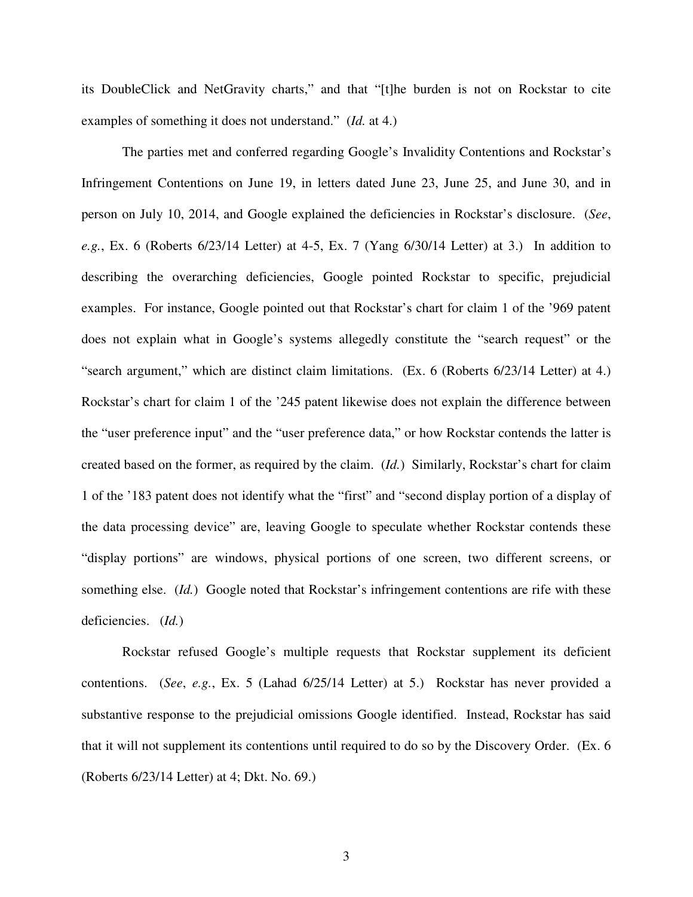its DoubleClick and NetGravity charts," and that "[t]he burden is not on Rockstar to cite examples of something it does not understand." (*Id.* at 4.)

The parties met and conferred regarding Google's Invalidity Contentions and Rockstar's Infringement Contentions on June 19, in letters dated June 23, June 25, and June 30, and in person on July 10, 2014, and Google explained the deficiencies in Rockstar's disclosure. (*See*, *e.g.*, Ex. 6 (Roberts 6/23/14 Letter) at 4-5, Ex. 7 (Yang 6/30/14 Letter) at 3.) In addition to describing the overarching deficiencies, Google pointed Rockstar to specific, prejudicial examples. For instance, Google pointed out that Rockstar's chart for claim 1 of the '969 patent does not explain what in Google's systems allegedly constitute the "search request" or the "search argument," which are distinct claim limitations. (Ex. 6 (Roberts 6/23/14 Letter) at 4.) Rockstar's chart for claim 1 of the '245 patent likewise does not explain the difference between the "user preference input" and the "user preference data," or how Rockstar contends the latter is created based on the former, as required by the claim. (*Id.*) Similarly, Rockstar's chart for claim 1 of the '183 patent does not identify what the "first" and "second display portion of a display of the data processing device" are, leaving Google to speculate whether Rockstar contends these "display portions" are windows, physical portions of one screen, two different screens, or something else. (*Id.*) Google noted that Rockstar's infringement contentions are rife with these deficiencies. (*Id.*)

Rockstar refused Google's multiple requests that Rockstar supplement its deficient contentions. (*See*, *e.g.*, Ex. 5 (Lahad 6/25/14 Letter) at 5.) Rockstar has never provided a substantive response to the prejudicial omissions Google identified. Instead, Rockstar has said that it will not supplement its contentions until required to do so by the Discovery Order. (Ex. 6 (Roberts 6/23/14 Letter) at 4; Dkt. No. 69.)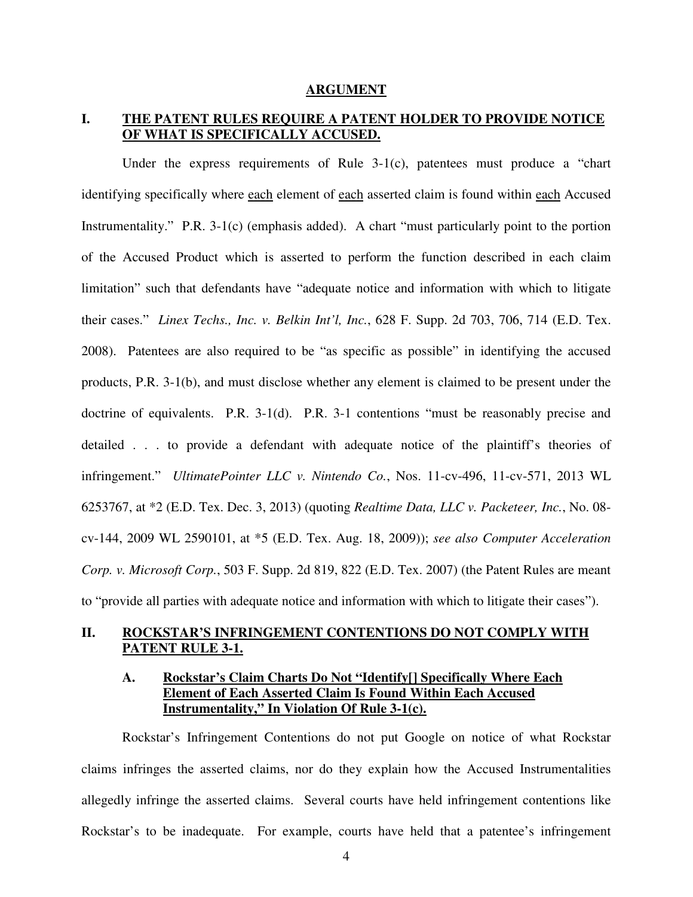#### **ARGUMENT**

# **I. THE PATENT RULES REQUIRE A PATENT HOLDER TO PROVIDE NOTICE OF WHAT IS SPECIFICALLY ACCUSED.**

Under the express requirements of Rule  $3-1(c)$ , patentees must produce a "chart" identifying specifically where each element of each asserted claim is found within each Accused Instrumentality." P.R. 3-1(c) (emphasis added). A chart "must particularly point to the portion of the Accused Product which is asserted to perform the function described in each claim limitation" such that defendants have "adequate notice and information with which to litigate their cases." *Linex Techs., Inc. v. Belkin Int'l, Inc.*, 628 F. Supp. 2d 703, 706, 714 (E.D. Tex. 2008). Patentees are also required to be "as specific as possible" in identifying the accused products, P.R. 3-1(b), and must disclose whether any element is claimed to be present under the doctrine of equivalents. P.R. 3-1(d). P.R. 3-1 contentions "must be reasonably precise and detailed . . . to provide a defendant with adequate notice of the plaintiff's theories of infringement." *UltimatePointer LLC v. Nintendo Co.*, Nos. 11-cv-496, 11-cv-571, 2013 WL 6253767, at \*2 (E.D. Tex. Dec. 3, 2013) (quoting *Realtime Data, LLC v. Packeteer, Inc.*, No. 08 cv-144, 2009 WL 2590101, at \*5 (E.D. Tex. Aug. 18, 2009)); *see also Computer Acceleration Corp. v. Microsoft Corp.*, 503 F. Supp. 2d 819, 822 (E.D. Tex. 2007) (the Patent Rules are meant to "provide all parties with adequate notice and information with which to litigate their cases").

### **II. ROCKSTAR'S INFRINGEMENT CONTENTIONS DO NOT COMPLY WITH PATENT RULE 3-1.**

## **A. Rockstar's Claim Charts Do Not "Identify[] Specifically Where Each Element of Each Asserted Claim Is Found Within Each Accused Instrumentality," In Violation Of Rule 3-1(c).**

Rockstar's Infringement Contentions do not put Google on notice of what Rockstar claims infringes the asserted claims, nor do they explain how the Accused Instrumentalities allegedly infringe the asserted claims. Several courts have held infringement contentions like Rockstar's to be inadequate. For example, courts have held that a patentee's infringement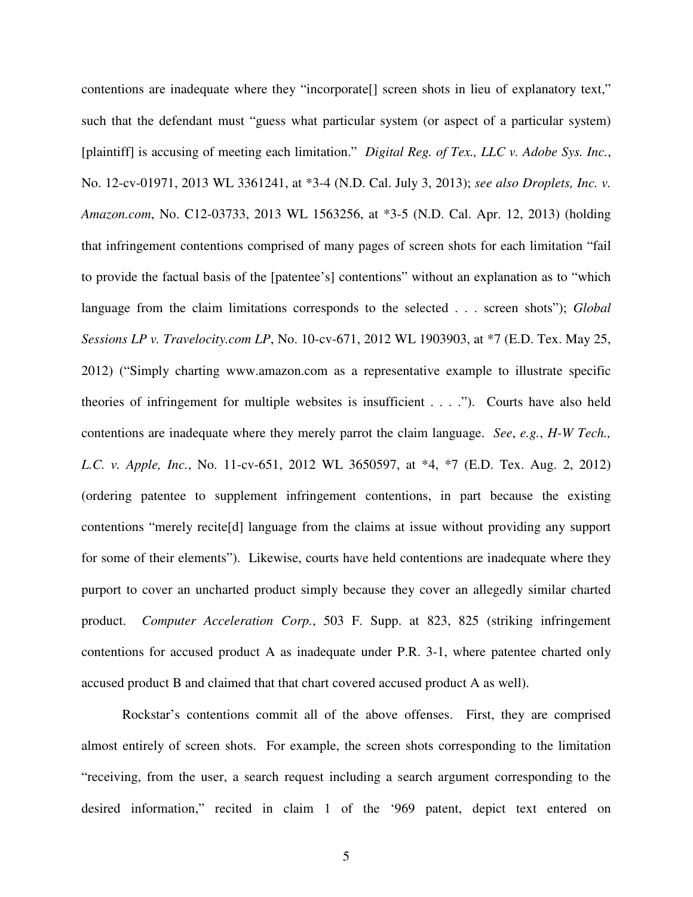contentions are inadequate where they "incorporate[] screen shots in lieu of explanatory text," such that the defendant must "guess what particular system (or aspect of a particular system) [plaintiff] is accusing of meeting each limitation." *Digital Reg. of Tex., LLC v. Adobe Sys. Inc.*, No. 12-cv-01971, 2013 WL 3361241, at \*3-4 (N.D. Cal. July 3, 2013); *see also Droplets, Inc. v. Amazon.com*, No. C12-03733, 2013 WL 1563256, at \*3-5 (N.D. Cal. Apr. 12, 2013) (holding that infringement contentions comprised of many pages of screen shots for each limitation "fail to provide the factual basis of the [patentee's] contentions" without an explanation as to "which language from the claim limitations corresponds to the selected . . . screen shots"); *Global Sessions LP v. Travelocity.com LP*, No. 10-cv-671, 2012 WL 1903903, at \*7 (E.D. Tex. May 25, 2012) ("Simply charting www.amazon.com as a representative example to illustrate specific theories of infringement for multiple websites is insufficient . . . ."). Courts have also held contentions are inadequate where they merely parrot the claim language. *See*, *e.g.*, *H-W Tech., L.C. v. Apple, Inc.*, No. 11-cv-651, 2012 WL 3650597, at \*4, \*7 (E.D. Tex. Aug. 2, 2012) (ordering patentee to supplement infringement contentions, in part because the existing contentions "merely recite[d] language from the claims at issue without providing any support for some of their elements"). Likewise, courts have held contentions are inadequate where they purport to cover an uncharted product simply because they cover an allegedly similar charted product. *Computer Acceleration Corp.*, 503 F. Supp. at 823, 825 (striking infringement contentions for accused product A as inadequate under P.R. 3-1, where patentee charted only accused product B and claimed that that chart covered accused product A as well).

Rockstar's contentions commit all of the above offenses. First, they are comprised almost entirely of screen shots. For example, the screen shots corresponding to the limitation "receiving, from the user, a search request including a search argument corresponding to the desired information," recited in claim 1 of the '969 patent, depict text entered on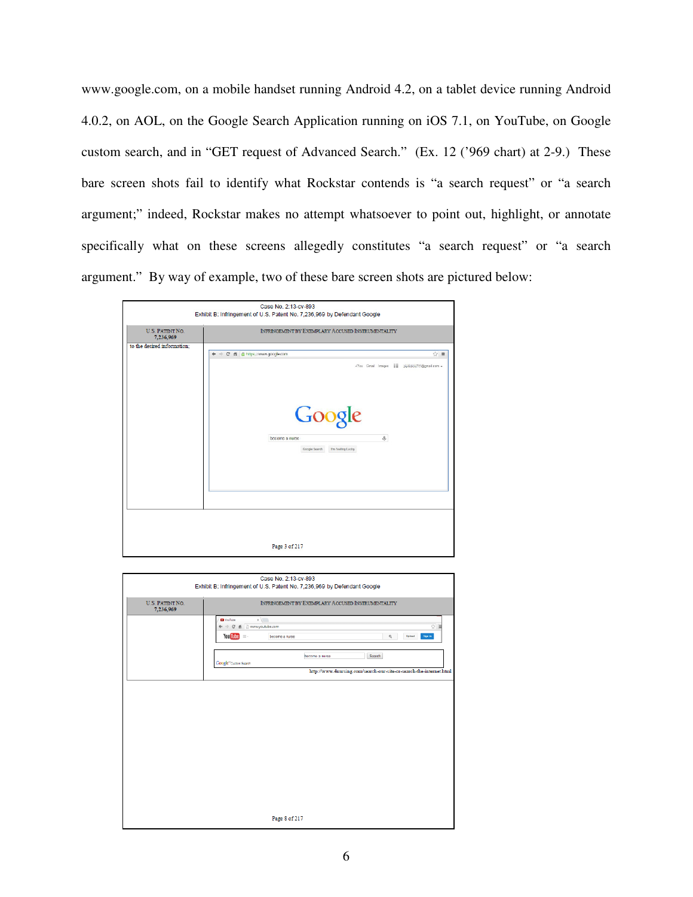www.google.com, on a mobile handset running Android 4.2, on a tablet device running Android 4.0.2, on AOL, on the Google Search Application running on iOS 7.1, on YouTube, on Google custom search, and in "GET request of Advanced Search." (Ex. 12 ('969 chart) at 2-9.) These bare screen shots fail to identify what Rockstar contends is "a search request" or "a search argument;" indeed, Rockstar makes no attempt whatsoever to point out, highlight, or annotate specifically what on these screens allegedly constitutes "a search request" or "a search argument." By way of example, two of these bare screen shots are pictured below:



| Case No. 2:13-cv-893<br>Exhibit B: Infringement of U.S. Patent No. 7,236,969 by Defendant Google |                                                                             |
|--------------------------------------------------------------------------------------------------|-----------------------------------------------------------------------------|
| U.S. PATENT NO.<br>7,236,969                                                                     | INFRINGEMENT BY EXEMPLARY ACCUSED INSTRUMENTALITY                           |
|                                                                                                  | <b>D</b> YouTube<br>x<br>← → C' n Dwww.youtube.com<br>☆■                    |
|                                                                                                  | You Tube $= -$<br>Upload<br><b>Sign in</b><br>$\mathbb Q$<br>become a nurse |
|                                                                                                  | Search<br>become a nurse<br>Google <sup>*</sup> Custom Search               |
|                                                                                                  | http://www.4nursing.com/search-our-site-or-search-the-internet.html         |
|                                                                                                  |                                                                             |
|                                                                                                  |                                                                             |
|                                                                                                  |                                                                             |
|                                                                                                  |                                                                             |
|                                                                                                  |                                                                             |
|                                                                                                  |                                                                             |
|                                                                                                  |                                                                             |
|                                                                                                  |                                                                             |
|                                                                                                  | Page 8 of 217                                                               |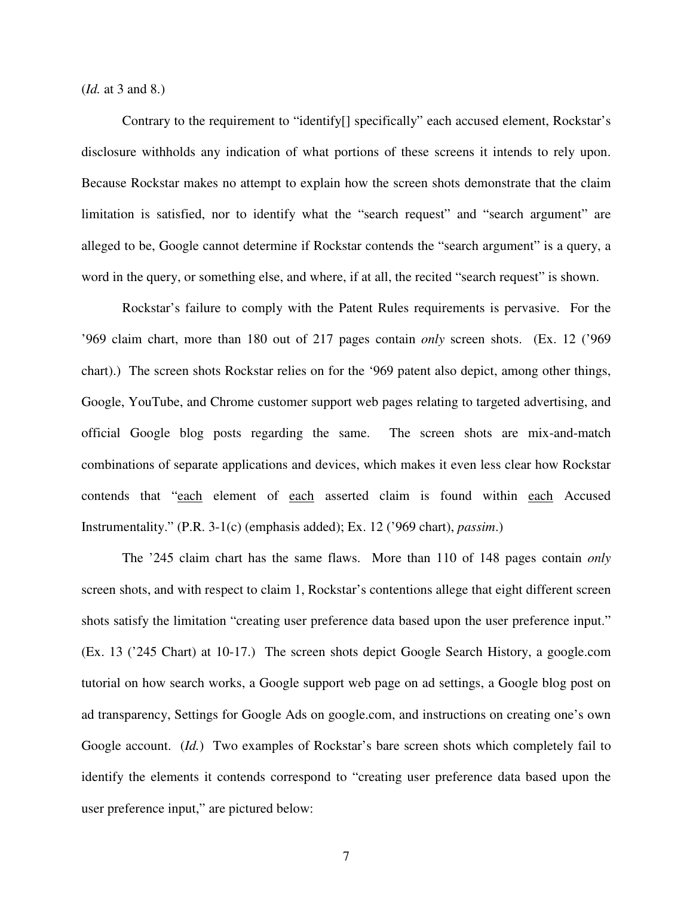(*Id.* at 3 and 8.)

Contrary to the requirement to "identify[] specifically" each accused element, Rockstar's disclosure withholds any indication of what portions of these screens it intends to rely upon. Because Rockstar makes no attempt to explain how the screen shots demonstrate that the claim limitation is satisfied, nor to identify what the "search request" and "search argument" are alleged to be, Google cannot determine if Rockstar contends the "search argument" is a query, a word in the query, or something else, and where, if at all, the recited "search request" is shown.

Rockstar's failure to comply with the Patent Rules requirements is pervasive. For the '969 claim chart, more than 180 out of 217 pages contain *only* screen shots. (Ex. 12 ('969 chart).) The screen shots Rockstar relies on for the '969 patent also depict, among other things, Google, YouTube, and Chrome customer support web pages relating to targeted advertising, and official Google blog posts regarding the same. The screen shots are mix-and-match combinations of separate applications and devices, which makes it even less clear how Rockstar contends that "each element of each asserted claim is found within each Accused Instrumentality." (P.R. 3-1(c) (emphasis added); Ex. 12 ('969 chart), *passim*.)

The '245 claim chart has the same flaws. More than 110 of 148 pages contain *only* screen shots, and with respect to claim 1, Rockstar's contentions allege that eight different screen shots satisfy the limitation "creating user preference data based upon the user preference input." (Ex. 13 ('245 Chart) at 10-17.) The screen shots depict Google Search History, a google.com tutorial on how search works, a Google support web page on ad settings, a Google blog post on ad transparency, Settings for Google Ads on google.com, and instructions on creating one's own Google account. (*Id.*) Two examples of Rockstar's bare screen shots which completely fail to identify the elements it contends correspond to "creating user preference data based upon the user preference input," are pictured below: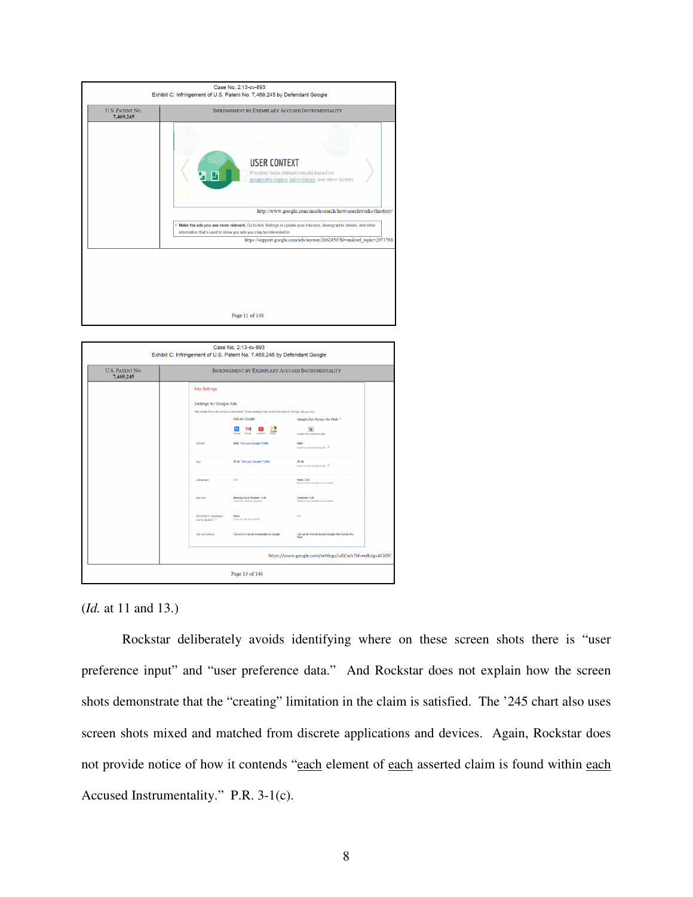



(*Id.* at 11 and 13.)

Rockstar deliberately avoids identifying where on these screen shots there is "user preference input" and "user preference data." And Rockstar does not explain how the screen shots demonstrate that the "creating" limitation in the claim is satisfied. The '245 chart also uses screen shots mixed and matched from discrete applications and devices. Again, Rockstar does not provide notice of how it contends "each element of each asserted claim is found within each Accused Instrumentality." P.R. 3-1(c).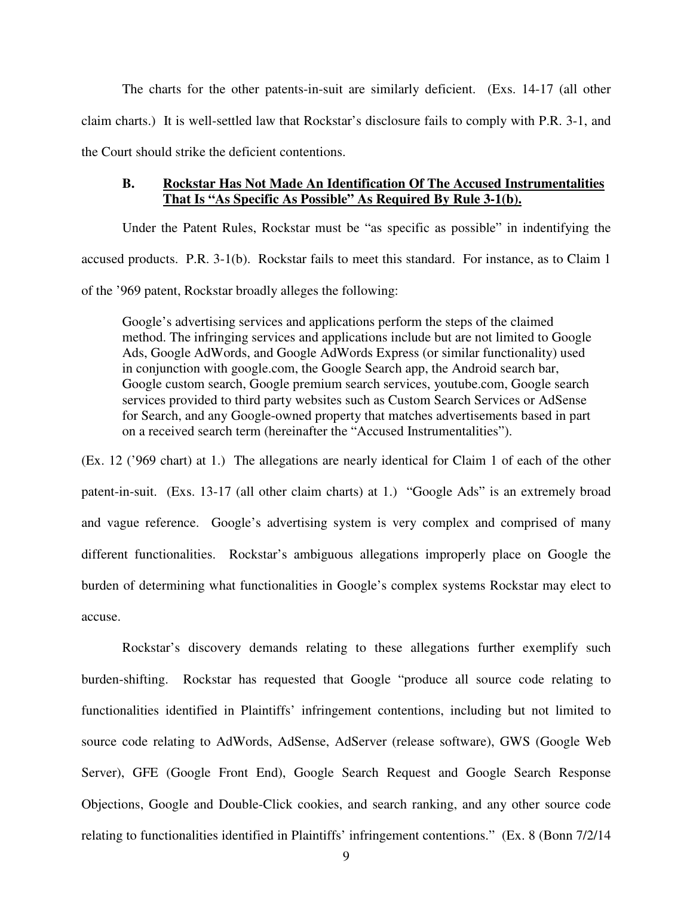The charts for the other patents-in-suit are similarly deficient. (Exs. 14-17 (all other claim charts.) It is well-settled law that Rockstar's disclosure fails to comply with P.R. 3-1, and the Court should strike the deficient contentions.

### **B. Rockstar Has Not Made An Identification Of The Accused Instrumentalities That Is "As Specific As Possible" As Required By Rule 3-1(b).**

Under the Patent Rules, Rockstar must be "as specific as possible" in indentifying the accused products. P.R. 3-1(b). Rockstar fails to meet this standard. For instance, as to Claim 1 of the '969 patent, Rockstar broadly alleges the following:

Google's advertising services and applications perform the steps of the claimed method. The infringing services and applications include but are not limited to Google Ads, Google AdWords, and Google AdWords Express (or similar functionality) used in conjunction with google.com, the Google Search app, the Android search bar, Google custom search, Google premium search services, youtube.com, Google search services provided to third party websites such as Custom Search Services or AdSense for Search, and any Google-owned property that matches advertisements based in part on a received search term (hereinafter the "Accused Instrumentalities").

(Ex. 12 ('969 chart) at 1.) The allegations are nearly identical for Claim 1 of each of the other patent-in-suit. (Exs. 13-17 (all other claim charts) at 1.) "Google Ads" is an extremely broad and vague reference. Google's advertising system is very complex and comprised of many different functionalities. Rockstar's ambiguous allegations improperly place on Google the burden of determining what functionalities in Google's complex systems Rockstar may elect to accuse.

Rockstar's discovery demands relating to these allegations further exemplify such burden-shifting. Rockstar has requested that Google "produce all source code relating to functionalities identified in Plaintiffs' infringement contentions, including but not limited to source code relating to AdWords, AdSense, AdServer (release software), GWS (Google Web Server), GFE (Google Front End), Google Search Request and Google Search Response Objections, Google and Double-Click cookies, and search ranking, and any other source code relating to functionalities identified in Plaintiffs' infringement contentions." (Ex. 8 (Bonn 7/2/14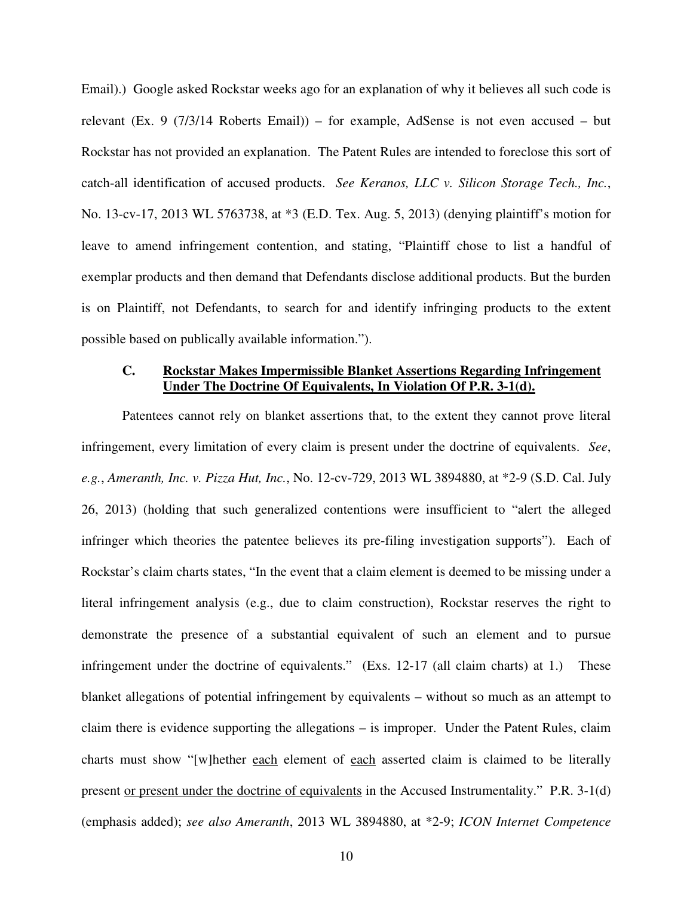Email).) Google asked Rockstar weeks ago for an explanation of why it believes all such code is relevant (Ex. 9 (7/3/14 Roberts Email)) – for example, AdSense is not even accused – but Rockstar has not provided an explanation. The Patent Rules are intended to foreclose this sort of catch-all identification of accused products. *See Keranos, LLC v. Silicon Storage Tech., Inc.*, No. 13-cv-17, 2013 WL 5763738, at \*3 (E.D. Tex. Aug. 5, 2013) (denying plaintiff's motion for leave to amend infringement contention, and stating, "Plaintiff chose to list a handful of exemplar products and then demand that Defendants disclose additional products. But the burden is on Plaintiff, not Defendants, to search for and identify infringing products to the extent possible based on publically available information.").

### **C. Rockstar Makes Impermissible Blanket Assertions Regarding Infringement Under The Doctrine Of Equivalents, In Violation Of P.R. 3-1(d).**

Patentees cannot rely on blanket assertions that, to the extent they cannot prove literal infringement, every limitation of every claim is present under the doctrine of equivalents. *See*, *e.g.*, *Ameranth, Inc. v. Pizza Hut, Inc.*, No. 12-cv-729, 2013 WL 3894880, at \*2-9 (S.D. Cal. July 26, 2013) (holding that such generalized contentions were insufficient to "alert the alleged infringer which theories the patentee believes its pre-filing investigation supports"). Each of Rockstar's claim charts states, "In the event that a claim element is deemed to be missing under a literal infringement analysis (e.g., due to claim construction), Rockstar reserves the right to demonstrate the presence of a substantial equivalent of such an element and to pursue infringement under the doctrine of equivalents." (Exs. 12-17 (all claim charts) at 1.) These blanket allegations of potential infringement by equivalents – without so much as an attempt to claim there is evidence supporting the allegations – is improper. Under the Patent Rules, claim charts must show "[w]hether each element of each asserted claim is claimed to be literally present or present under the doctrine of equivalents in the Accused Instrumentality." P.R. 3-1(d) (emphasis added); *see also Ameranth*, 2013 WL 3894880, at \*2-9; *ICON Internet Competence*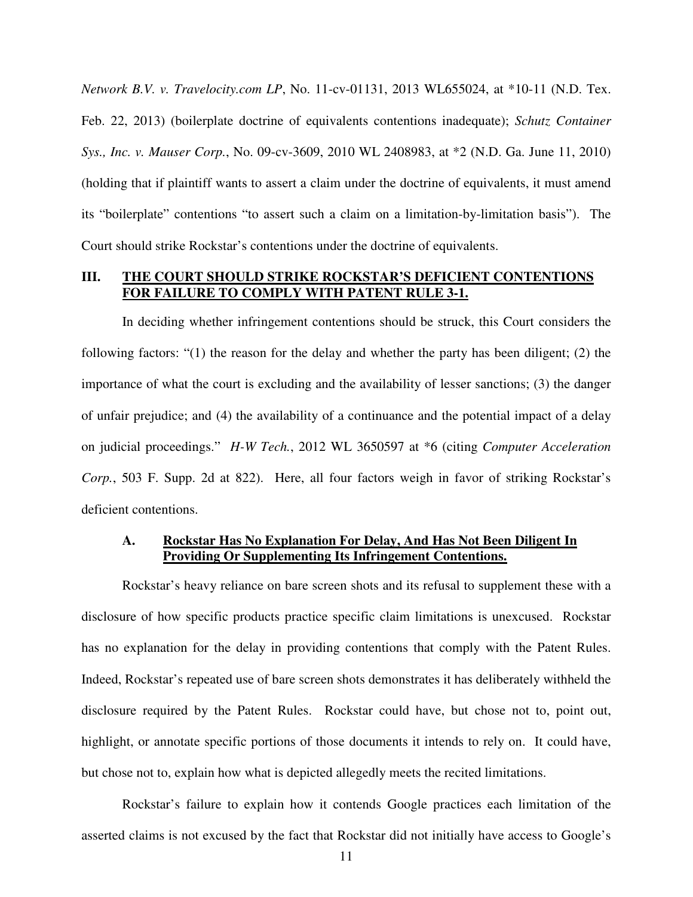*Network B.V. v. Travelocity.com LP*, No. 11-cv-01131, 2013 WL655024, at \*10-11 (N.D. Tex. Feb. 22, 2013) (boilerplate doctrine of equivalents contentions inadequate); *Schutz Container Sys., Inc. v. Mauser Corp.*, No. 09-cv-3609, 2010 WL 2408983, at \*2 (N.D. Ga. June 11, 2010) (holding that if plaintiff wants to assert a claim under the doctrine of equivalents, it must amend its "boilerplate" contentions "to assert such a claim on a limitation-by-limitation basis"). The Court should strike Rockstar's contentions under the doctrine of equivalents.

### **III. THE COURT SHOULD STRIKE ROCKSTAR'S DEFICIENT CONTENTIONS FOR FAILURE TO COMPLY WITH PATENT RULE 3-1.**

In deciding whether infringement contentions should be struck, this Court considers the following factors: "(1) the reason for the delay and whether the party has been diligent; (2) the importance of what the court is excluding and the availability of lesser sanctions; (3) the danger of unfair prejudice; and (4) the availability of a continuance and the potential impact of a delay on judicial proceedings." *H-W Tech.*, 2012 WL 3650597 at \*6 (citing *Computer Acceleration Corp.*, 503 F. Supp. 2d at 822). Here, all four factors weigh in favor of striking Rockstar's deficient contentions.

### **A. Rockstar Has No Explanation For Delay, And Has Not Been Diligent In Providing Or Supplementing Its Infringement Contentions.**

Rockstar's heavy reliance on bare screen shots and its refusal to supplement these with a disclosure of how specific products practice specific claim limitations is unexcused. Rockstar has no explanation for the delay in providing contentions that comply with the Patent Rules. Indeed, Rockstar's repeated use of bare screen shots demonstrates it has deliberately withheld the disclosure required by the Patent Rules. Rockstar could have, but chose not to, point out, highlight, or annotate specific portions of those documents it intends to rely on. It could have, but chose not to, explain how what is depicted allegedly meets the recited limitations.

Rockstar's failure to explain how it contends Google practices each limitation of the asserted claims is not excused by the fact that Rockstar did not initially have access to Google's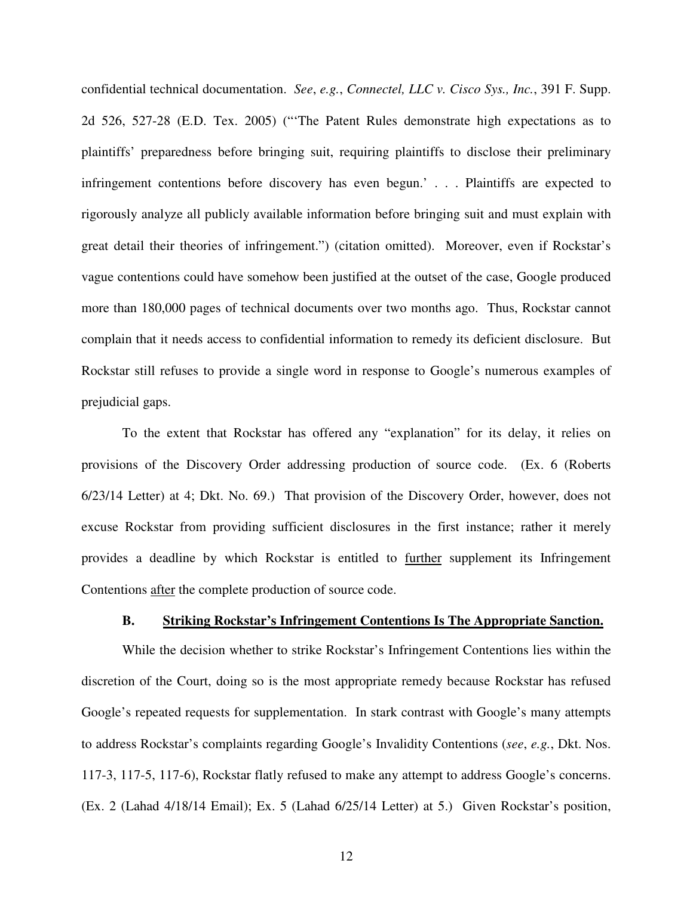confidential technical documentation. *See*, *e.g.*, *Connectel, LLC v. Cisco Sys., Inc.*, 391 F. Supp. 2d 526, 527-28 (E.D. Tex. 2005) ("'The Patent Rules demonstrate high expectations as to plaintiffs' preparedness before bringing suit, requiring plaintiffs to disclose their preliminary infringement contentions before discovery has even begun.' . . . Plaintiffs are expected to rigorously analyze all publicly available information before bringing suit and must explain with great detail their theories of infringement.") (citation omitted). Moreover, even if Rockstar's vague contentions could have somehow been justified at the outset of the case, Google produced more than 180,000 pages of technical documents over two months ago. Thus, Rockstar cannot complain that it needs access to confidential information to remedy its deficient disclosure. But Rockstar still refuses to provide a single word in response to Google's numerous examples of prejudicial gaps.

To the extent that Rockstar has offered any "explanation" for its delay, it relies on provisions of the Discovery Order addressing production of source code. (Ex. 6 (Roberts 6/23/14 Letter) at 4; Dkt. No. 69.) That provision of the Discovery Order, however, does not excuse Rockstar from providing sufficient disclosures in the first instance; rather it merely provides a deadline by which Rockstar is entitled to further supplement its Infringement Contentions after the complete production of source code.

#### **B. Striking Rockstar's Infringement Contentions Is The Appropriate Sanction.**

While the decision whether to strike Rockstar's Infringement Contentions lies within the discretion of the Court, doing so is the most appropriate remedy because Rockstar has refused Google's repeated requests for supplementation. In stark contrast with Google's many attempts to address Rockstar's complaints regarding Google's Invalidity Contentions (*see*, *e.g.*, Dkt. Nos. 117-3, 117-5, 117-6), Rockstar flatly refused to make any attempt to address Google's concerns. (Ex. 2 (Lahad 4/18/14 Email); Ex. 5 (Lahad 6/25/14 Letter) at 5.) Given Rockstar's position,

12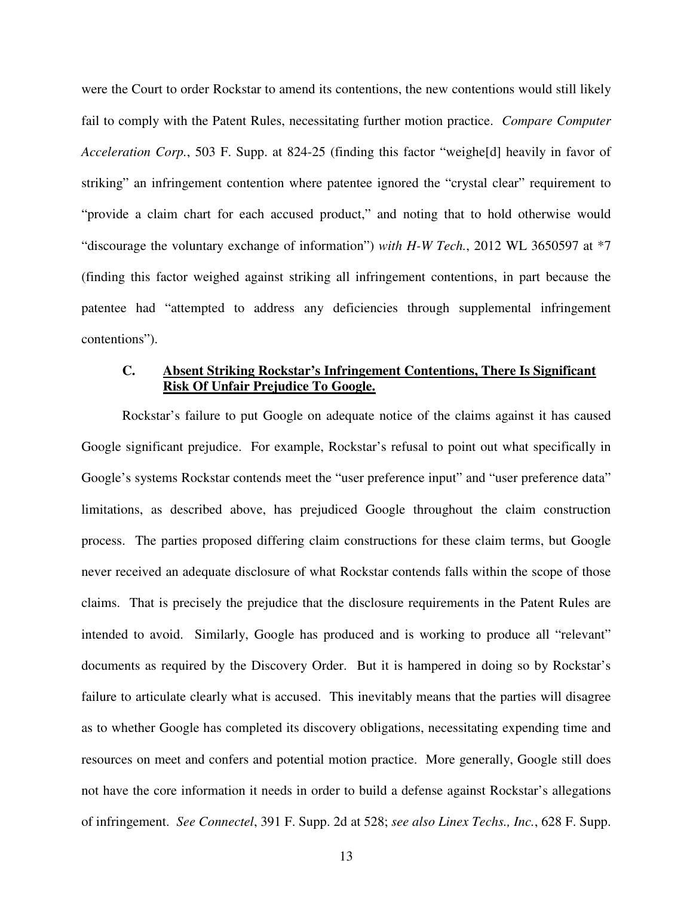were the Court to order Rockstar to amend its contentions, the new contentions would still likely fail to comply with the Patent Rules, necessitating further motion practice. *Compare Computer Acceleration Corp.*, 503 F. Supp. at 824-25 (finding this factor "weighe[d] heavily in favor of striking" an infringement contention where patentee ignored the "crystal clear" requirement to "provide a claim chart for each accused product," and noting that to hold otherwise would "discourage the voluntary exchange of information") *with H-W Tech.*, 2012 WL 3650597 at \*7 (finding this factor weighed against striking all infringement contentions, in part because the patentee had "attempted to address any deficiencies through supplemental infringement contentions").

## **C. Absent Striking Rockstar's Infringement Contentions, There Is Significant Risk Of Unfair Prejudice To Google.**

Rockstar's failure to put Google on adequate notice of the claims against it has caused Google significant prejudice. For example, Rockstar's refusal to point out what specifically in Google's systems Rockstar contends meet the "user preference input" and "user preference data" limitations, as described above, has prejudiced Google throughout the claim construction process. The parties proposed differing claim constructions for these claim terms, but Google never received an adequate disclosure of what Rockstar contends falls within the scope of those claims. That is precisely the prejudice that the disclosure requirements in the Patent Rules are intended to avoid. Similarly, Google has produced and is working to produce all "relevant" documents as required by the Discovery Order. But it is hampered in doing so by Rockstar's failure to articulate clearly what is accused. This inevitably means that the parties will disagree as to whether Google has completed its discovery obligations, necessitating expending time and resources on meet and confers and potential motion practice. More generally, Google still does not have the core information it needs in order to build a defense against Rockstar's allegations of infringement. *See Connectel*, 391 F. Supp. 2d at 528; *see also Linex Techs., Inc.*, 628 F. Supp.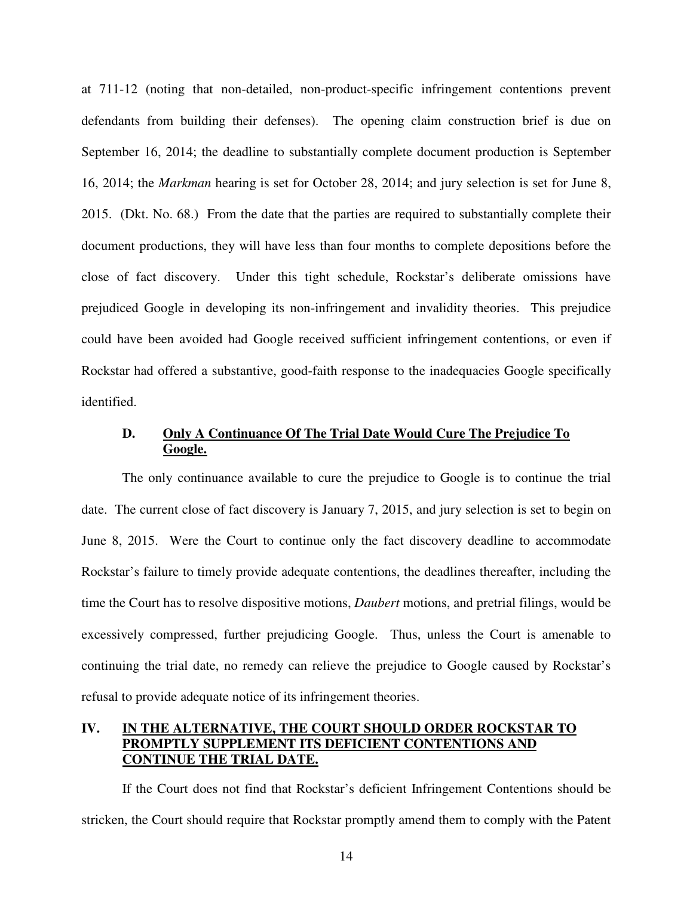at 711-12 (noting that non-detailed, non-product-specific infringement contentions prevent defendants from building their defenses). The opening claim construction brief is due on September 16, 2014; the deadline to substantially complete document production is September 16, 2014; the *Markman* hearing is set for October 28, 2014; and jury selection is set for June 8, 2015. (Dkt. No. 68.) From the date that the parties are required to substantially complete their document productions, they will have less than four months to complete depositions before the close of fact discovery. Under this tight schedule, Rockstar's deliberate omissions have prejudiced Google in developing its non-infringement and invalidity theories. This prejudice could have been avoided had Google received sufficient infringement contentions, or even if Rockstar had offered a substantive, good-faith response to the inadequacies Google specifically identified.

### **D. Only A Continuance Of The Trial Date Would Cure The Prejudice To Google.**

The only continuance available to cure the prejudice to Google is to continue the trial date. The current close of fact discovery is January 7, 2015, and jury selection is set to begin on June 8, 2015. Were the Court to continue only the fact discovery deadline to accommodate Rockstar's failure to timely provide adequate contentions, the deadlines thereafter, including the time the Court has to resolve dispositive motions, *Daubert* motions, and pretrial filings, would be excessively compressed, further prejudicing Google. Thus, unless the Court is amenable to continuing the trial date, no remedy can relieve the prejudice to Google caused by Rockstar's refusal to provide adequate notice of its infringement theories.

## **IV. IN THE ALTERNATIVE, THE COURT SHOULD ORDER ROCKSTAR TO PROMPTLY SUPPLEMENT ITS DEFICIENT CONTENTIONS AND CONTINUE THE TRIAL DATE.**

If the Court does not find that Rockstar's deficient Infringement Contentions should be stricken, the Court should require that Rockstar promptly amend them to comply with the Patent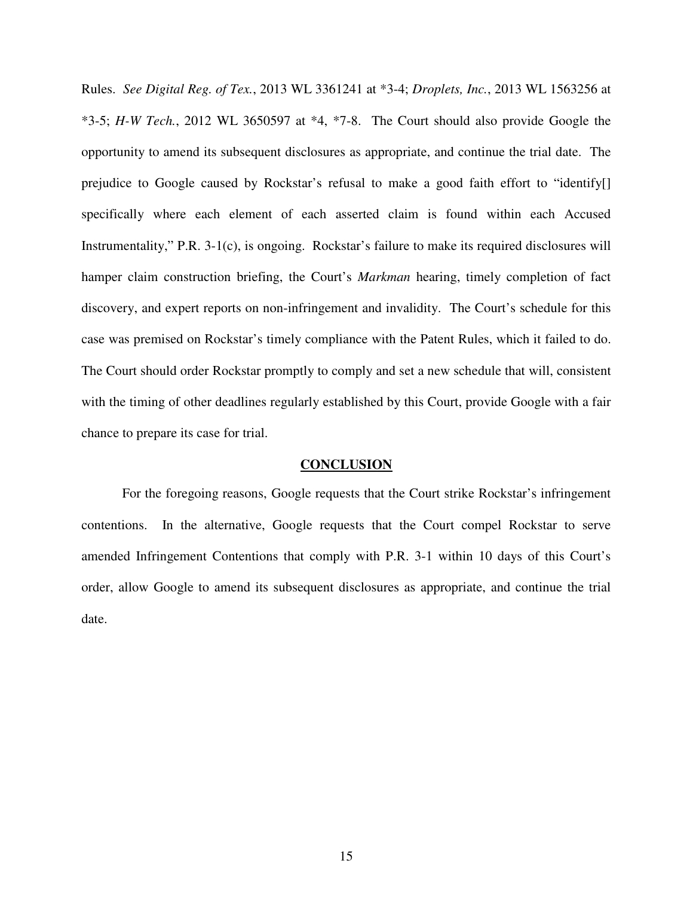Rules. *See Digital Reg. of Tex.*, 2013 WL 3361241 at \*3-4; *Droplets, Inc.*, 2013 WL 1563256 at \*3-5; *H-W Tech.*, 2012 WL 3650597 at \*4, \*7-8. The Court should also provide Google the opportunity to amend its subsequent disclosures as appropriate, and continue the trial date. The prejudice to Google caused by Rockstar's refusal to make a good faith effort to "identify[] specifically where each element of each asserted claim is found within each Accused Instrumentality," P.R. 3-1(c), is ongoing. Rockstar's failure to make its required disclosures will hamper claim construction briefing, the Court's *Markman* hearing, timely completion of fact discovery, and expert reports on non-infringement and invalidity. The Court's schedule for this case was premised on Rockstar's timely compliance with the Patent Rules, which it failed to do. The Court should order Rockstar promptly to comply and set a new schedule that will, consistent with the timing of other deadlines regularly established by this Court, provide Google with a fair chance to prepare its case for trial.

#### **CONCLUSION**

For the foregoing reasons, Google requests that the Court strike Rockstar's infringement contentions. In the alternative, Google requests that the Court compel Rockstar to serve amended Infringement Contentions that comply with P.R. 3-1 within 10 days of this Court's order, allow Google to amend its subsequent disclosures as appropriate, and continue the trial date.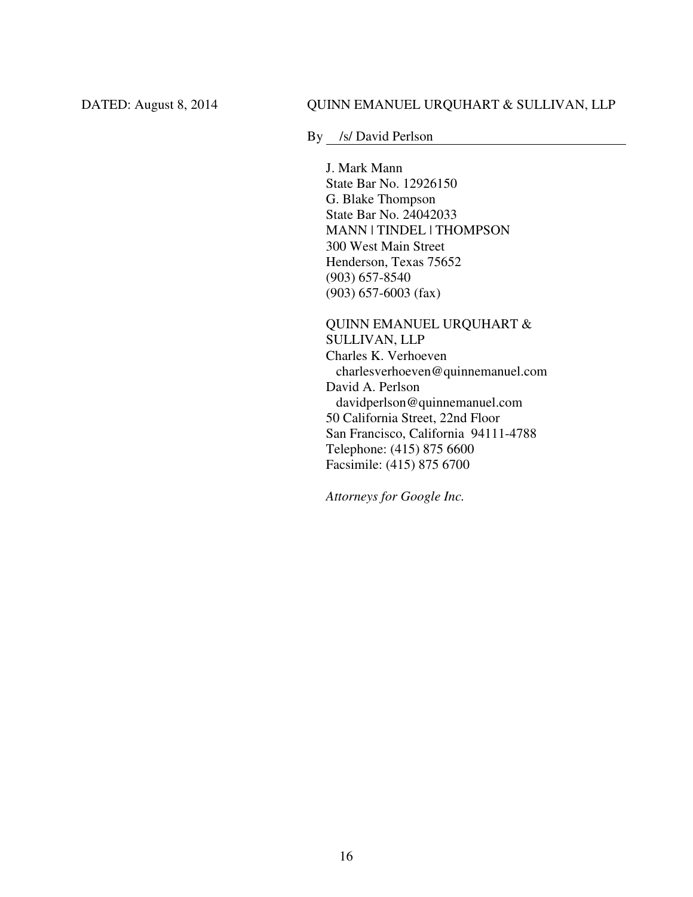### DATED: August 8, 2014 QUINN EMANUEL URQUHART & SULLIVAN, LLP

By /s/ David Perlson

J. Mark Mann State Bar No. 12926150 G. Blake Thompson State Bar No. 24042033 MANN | TINDEL | THOMPSON 300 West Main Street Henderson, Texas 75652 (903) 657-8540 (903) 657-6003 (fax)

QUINN EMANUEL URQUHART & SULLIVAN, LLP Charles K. Verhoeven charlesverhoeven@quinnemanuel.com David A. Perlson davidperlson@quinnemanuel.com 50 California Street, 22nd Floor San Francisco, California 94111-4788 Telephone: (415) 875 6600 Facsimile: (415) 875 6700

*Attorneys for Google Inc.*